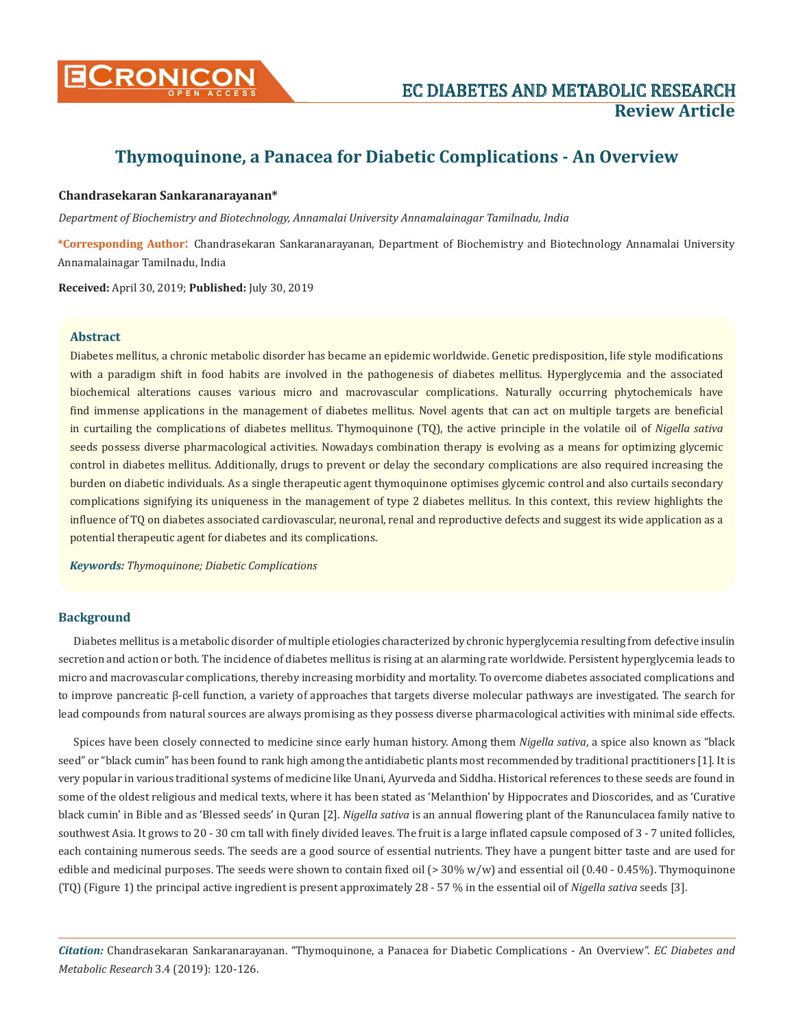

# **Thymoquinone, a Panacea for Diabetic Complications - An Overview**

## **Chandrasekaran Sankaranarayanan\***

*Department of Biochemistry and Biotechnology, Annamalai University Annamalainagar Tamilnadu, India*

**\*Corresponding Author**: Chandrasekaran Sankaranarayanan, Department of Biochemistry and Biotechnology Annamalai University Annamalainagar Tamilnadu, India

**Received:** April 30, 2019; **Published:** July 30, 2019

# **Abstract**

Diabetes mellitus, a chronic metabolic disorder has became an epidemic worldwide. Genetic predisposition, life style modifications with a paradigm shift in food habits are involved in the pathogenesis of diabetes mellitus. Hyperglycemia and the associated biochemical alterations causes various micro and macrovascular complications. Naturally occurring phytochemicals have find immense applications in the management of diabetes mellitus. Novel agents that can act on multiple targets are beneficial in curtailing the complications of diabetes mellitus. Thymoquinone (TQ), the active principle in the volatile oil of *Nigella sativa* seeds possess diverse pharmacological activities. Nowadays combination therapy is evolving as a means for optimizing glycemic control in diabetes mellitus. Additionally, drugs to prevent or delay the secondary complications are also required increasing the burden on diabetic individuals. As a single therapeutic agent thymoquinone optimises glycemic control and also curtails secondary complications signifying its uniqueness in the management of type 2 diabetes mellitus. In this context, this review highlights the influence of TQ on diabetes associated cardiovascular, neuronal, renal and reproductive defects and suggest its wide application as a potential therapeutic agent for diabetes and its complications.

*Keywords: Thymoquinone; Diabetic Complications*

## **Background**

Diabetes mellitus is a metabolic disorder of multiple etiologies characterized by chronic hyperglycemia resulting from defective insulin secretion and action or both. The incidence of diabetes mellitus is rising at an alarming rate worldwide. Persistent hyperglycemia leads to micro and macrovascular complications, thereby increasing morbidity and mortality. To overcome diabetes associated complications and to improve pancreatic β-cell function, a variety of approaches that targets diverse molecular pathways are investigated. The search for lead compounds from natural sources are always promising as they possess diverse pharmacological activities with minimal side effects.

Spices have been closely connected to medicine since early human history. Among them *Nigella sativa*, a spice also known as "black seed" or "black cumin" has been found to rank high among the antidiabetic plants most recommended by traditional practitioners [1]. It is very popular in various traditional systems of medicine like Unani, Ayurveda and Siddha. Historical references to these seeds are found in some of the oldest religious and medical texts, where it has been stated as 'Melanthion' by Hippocrates and Dioscorides, and as 'Curative black cumin' in Bible and as 'Blessed seeds' in Quran [2]. *Nigella sativa* is an annual flowering plant of the Ranunculacea family native to southwest Asia. It grows to 20 - 30 cm tall with finely divided leaves. The fruit is a large inflated capsule composed of 3 - 7 united follicles, each containing numerous seeds. The seeds are a good source of essential nutrients. They have a pungent bitter taste and are used for edible and medicinal purposes. The seeds were shown to contain fixed oil  $(> 30\% w/w)$  and essential oil  $(0.40 - 0.45\%)$ . Thymoquinone (TQ) (Figure 1) the principal active ingredient is present approximately 28 - 57 % in the essential oil of *Nigella sativa* seeds [3].

*Citation:* Chandrasekaran Sankaranarayanan. "Thymoquinone, a Panacea for Diabetic Complications - An Overview". *EC Diabetes and Metabolic Research* 3.4 (2019): 120-126.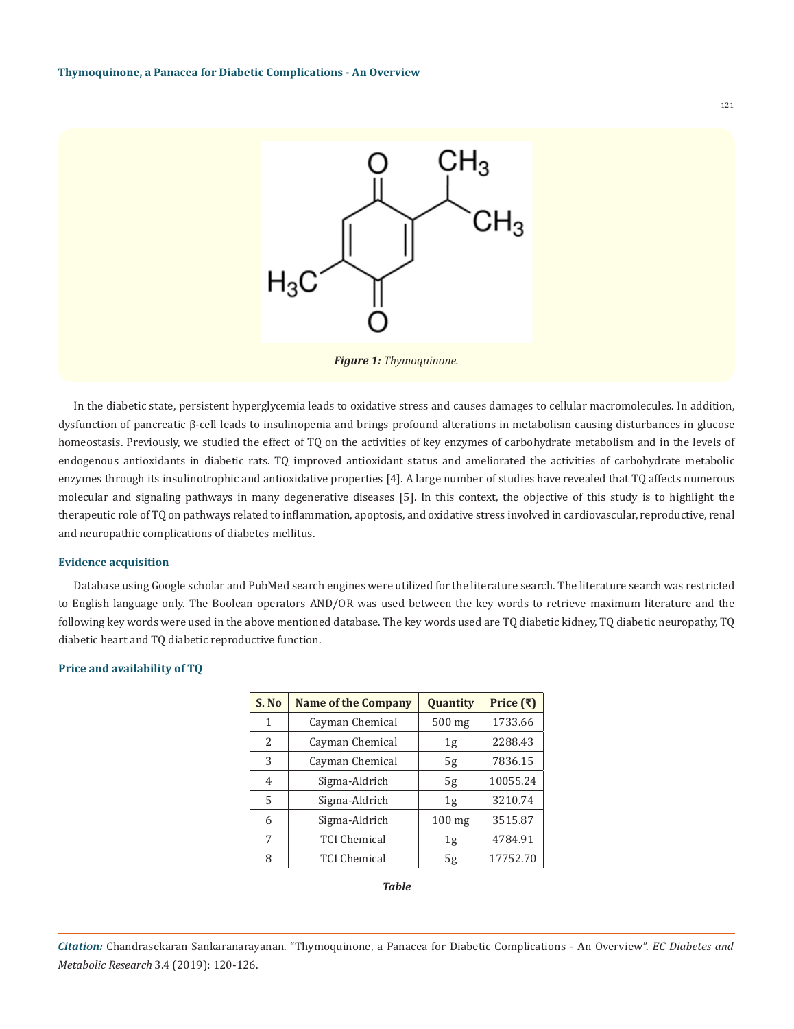

*Figure 1: Thymoquinone.*

In the diabetic state, persistent hyperglycemia leads to oxidative stress and causes damages to cellular macromolecules. In addition, dysfunction of pancreatic β-cell leads to insulinopenia and brings profound alterations in metabolism causing disturbances in glucose homeostasis. Previously, we studied the effect of TQ on the activities of key enzymes of carbohydrate metabolism and in the levels of endogenous antioxidants in diabetic rats. TQ improved antioxidant status and ameliorated the activities of carbohydrate metabolic enzymes through its insulinotrophic and antioxidative properties [4]. A large number of studies have revealed that TQ affects numerous molecular and signaling pathways in many degenerative diseases [5]. In this context, the objective of this study is to highlight the therapeutic role of TQ on pathways related to inflammation, apoptosis, and oxidative stress involved in cardiovascular, reproductive, renal and neuropathic complications of diabetes mellitus.

#### **Evidence acquisition**

Database using Google scholar and PubMed search engines were utilized for the literature search. The literature search was restricted to English language only. The Boolean operators AND/OR was used between the key words to retrieve maximum literature and the following key words were used in the above mentioned database. The key words used are TQ diabetic kidney, TQ diabetic neuropathy, TQ diabetic heart and TQ diabetic reproductive function.

#### **Price and availability of TQ**

| S. No         | <b>Name of the Company</b> | Quantity       | Price $(\bar{x})$ |
|---------------|----------------------------|----------------|-------------------|
| 1             | Cayman Chemical            | 500 mg         | 1733.66           |
| $\mathcal{L}$ | Cayman Chemical            | 1 <sub>g</sub> | 2288.43           |
| 3             | Cayman Chemical            | 5g             | 7836.15           |
| 4             | Sigma-Aldrich              | 5g             | 10055.24          |
| 5             | Sigma-Aldrich              | 1 <sub>g</sub> | 3210.74           |
| 6             | Sigma-Aldrich              | $100$ mg       | 3515.87           |
| 7             | <b>TCI Chemical</b>        | 1g             | 4784.91           |
| 8             | <b>TCI Chemical</b>        | 5g             | 17752.70          |

*Table*

*Citation:* Chandrasekaran Sankaranarayanan. "Thymoquinone, a Panacea for Diabetic Complications - An Overview". *EC Diabetes and Metabolic Research* 3.4 (2019): 120-126.

121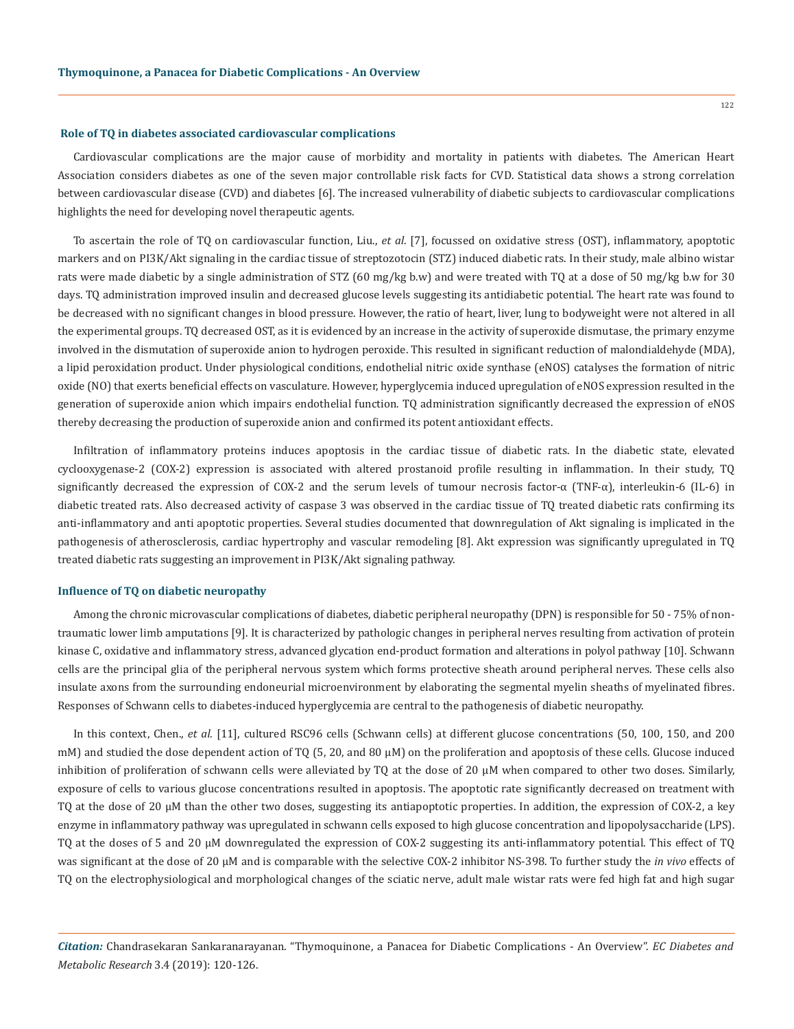#### **Role of TQ in diabetes associated cardiovascular complications**

Cardiovascular complications are the major cause of morbidity and mortality in patients with diabetes. The American Heart Association considers diabetes as one of the seven major controllable risk facts for CVD. Statistical data shows a strong correlation between cardiovascular disease (CVD) and diabetes [6]. The increased vulnerability of diabetic subjects to cardiovascular complications highlights the need for developing novel therapeutic agents.

To ascertain the role of TQ on cardiovascular function, Liu., *et al*. [7], focussed on oxidative stress (OST), inflammatory, apoptotic markers and on PI3K/Akt signaling in the cardiac tissue of streptozotocin (STZ) induced diabetic rats. In their study, male albino wistar rats were made diabetic by a single administration of STZ (60 mg/kg b.w) and were treated with TQ at a dose of 50 mg/kg b.w for 30 days. TQ administration improved insulin and decreased glucose levels suggesting its antidiabetic potential. The heart rate was found to be decreased with no significant changes in blood pressure. However, the ratio of heart, liver, lung to bodyweight were not altered in all the experimental groups. TQ decreased OST, as it is evidenced by an increase in the activity of superoxide dismutase, the primary enzyme involved in the dismutation of superoxide anion to hydrogen peroxide. This resulted in significant reduction of malondialdehyde (MDA), a lipid peroxidation product. Under physiological conditions, endothelial nitric oxide synthase (eNOS) catalyses the formation of nitric oxide (NO) that exerts beneficial effects on vasculature. However, hyperglycemia induced upregulation of eNOS expression resulted in the generation of superoxide anion which impairs endothelial function. TQ administration significantly decreased the expression of eNOS thereby decreasing the production of superoxide anion and confirmed its potent antioxidant effects.

Infiltration of inflammatory proteins induces apoptosis in the cardiac tissue of diabetic rats. In the diabetic state, elevated cyclooxygenase-2 (COX-2) expression is associated with altered prostanoid profile resulting in inflammation. In their study, TQ significantly decreased the expression of COX-2 and the serum levels of tumour necrosis factor- $\alpha$  (TNF- $\alpha$ ), interleukin-6 (IL-6) in diabetic treated rats. Also decreased activity of caspase 3 was observed in the cardiac tissue of TQ treated diabetic rats confirming its anti-inflammatory and anti apoptotic properties. Several studies documented that downregulation of Akt signaling is implicated in the pathogenesis of atherosclerosis, cardiac hypertrophy and vascular remodeling [8]. Akt expression was significantly upregulated in TQ treated diabetic rats suggesting an improvement in PI3K/Akt signaling pathway.

#### **Influence of TQ on diabetic neuropathy**

Among the chronic microvascular complications of diabetes, diabetic peripheral neuropathy (DPN) is responsible for 50 - 75% of nontraumatic lower limb amputations [9]. It is characterized by pathologic changes in peripheral nerves resulting from activation of protein kinase C, oxidative and inflammatory stress, advanced glycation end-product formation and alterations in polyol pathway [10]. Schwann cells are the principal [glia](https://en.wikipedia.org/wiki/Glia) of the [peripheral nervous system](https://en.wikipedia.org/wiki/Peripheral_nervous_system) which forms protective sheath around peripheral nerves. These cells also insulate axons from the surrounding endoneurial microenvironment by elaborating the segmental myelin sheaths of myelinated fibres. Responses of Schwann cells to diabetes-induced hyperglycemia are central to the pathogenesis of diabetic neuropathy.

In this context, Chen., *et al.* [11], cultured RSC96 cells (Schwann cells) at different glucose concentrations (50, 100, 150, and 200 mM) and studied the dose dependent action of TQ (5, 20, and 80 μM) on the proliferation and apoptosis of these cells. Glucose induced inhibition of proliferation of schwann cells were alleviated by TQ at the dose of 20 μM when compared to other two doses. Similarly, exposure of cells to various glucose concentrations resulted in apoptosis. The apoptotic rate significantly decreased on treatment with TQ at the dose of 20 μM than the other two doses, suggesting its antiapoptotic properties. In addition, the expression of COX-2, a key enzyme in inflammatory pathway was upregulated in schwann cells exposed to high glucose concentration and lipopolysaccharide (LPS). TQ at the doses of 5 and 20 μM downregulated the expression of COX-2 suggesting its anti-inflammatory potential. This effect of TQ was significant at the dose of 20 μM and is comparable with the selective COX-2 inhibitor NS-398. To further study the *in vivo* effects of TQ on the electrophysiological and morphological changes of the sciatic nerve, adult male wistar rats were fed high fat and high sugar

*Citation:* Chandrasekaran Sankaranarayanan. "Thymoquinone, a Panacea for Diabetic Complications - An Overview". *EC Diabetes and Metabolic Research* 3.4 (2019): 120-126.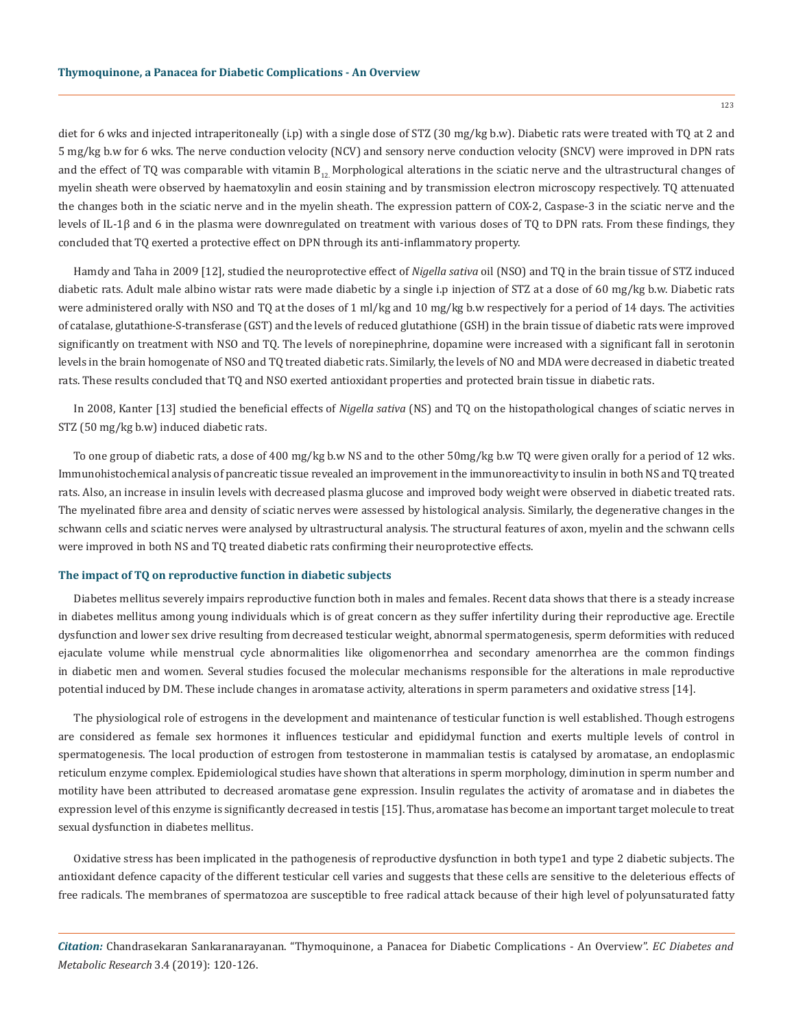diet for 6 wks and injected intraperitoneally (i.p) with a single dose of STZ (30 mg/kg b.w). Diabetic rats were treated with TQ at 2 and 5 mg/kg b.w for 6 wks. The nerve conduction velocity (NCV) and sensory nerve conduction velocity (SNCV) were improved in DPN rats and the effect of TQ was comparable with vitamin  $B_{12}$  Morphological alterations in the sciatic nerve and the ultrastructural changes of myelin sheath were observed by haematoxylin and eosin staining and by transmission electron microscopy respectively. TQ attenuated the changes both in the sciatic nerve and in the myelin sheath. The expression pattern of COX-2, Caspase-3 in the sciatic nerve and the levels of IL-1β and 6 in the plasma were downregulated on treatment with various doses of TQ to DPN rats. From these findings, they concluded that TQ exerted a protective effect on DPN through its anti-inflammatory property.

Hamdy and Taha in 2009 [12], studied the neuroprotective effect of *Nigella sativa* oil (NSO) and TQ in the brain tissue of STZ induced diabetic rats. Adult male albino wistar rats were made diabetic by a single i.p injection of STZ at a dose of 60 mg/kg b.w. Diabetic rats were administered orally with NSO and TQ at the doses of 1 ml/kg and 10 mg/kg b.w respectively for a period of 14 days. The activities of catalase, glutathione-S-transferase (GST) and the levels of reduced glutathione (GSH) in the brain tissue of diabetic rats were improved significantly on treatment with NSO and TQ. The levels of norepinephrine, dopamine were increased with a significant fall in serotonin levels in the brain homogenate of NSO and TQ treated diabetic rats. Similarly, the levels of NO and MDA were decreased in diabetic treated rats. These results concluded that TQ and NSO exerted antioxidant properties and protected brain tissue in diabetic rats.

In 2008, Kanter [13] studied the beneficial effects of *Nigella sativa* (NS) and TQ on the histopathological changes of sciatic nerves in STZ (50 mg/kg b.w) induced diabetic rats.

To one group of diabetic rats, a dose of 400 mg/kg b.w NS and to the other 50mg/kg b.w TQ were given orally for a period of 12 wks. Immunohistochemical analysis of pancreatic tissue revealed an improvement in the immunoreactivity to insulin in both NS and TQ treated rats. Also, an increase in insulin levels with decreased plasma glucose and improved body weight were observed in diabetic treated rats. The myelinated fibre area and density of sciatic nerves were assessed by histological analysis. Similarly, the degenerative changes in the schwann cells and sciatic nerves were analysed by ultrastructural analysis. The structural features of axon, myelin and the schwann cells were improved in both NS and TQ treated diabetic rats confirming their neuroprotective effects.

#### **The impact of TQ on reproductive function in diabetic subjects**

Diabetes mellitus severely impairs reproductive function both in males and females. Recent data shows that there is a steady increase in diabetes mellitus among young individuals which is of great concern as they suffer infertility during their reproductive age. Erectile dysfunction and lower sex drive resulting from decreased testicular weight, abnormal spermatogenesis, sperm deformities with reduced ejaculate volume while menstrual cycle abnormalities like oligomenorrhea and secondary amenorrhea are the common findings in diabetic men and women. Several studies focused the molecular mechanisms responsible for the alterations in male reproductive potential induced by DM. These include changes in aromatase activity, alterations in sperm parameters and oxidative stress [14].

The physiological role of estrogens in the development and maintenance of testicular function is well established. Though estrogens are considered as female sex hormones it influences testicular and epididymal function and exerts multiple levels of control in spermatogenesis. The local production of estrogen from testosterone in mammalian testis is catalysed by aromatase, an endoplasmic reticulum enzyme complex. Epidemiological studies have shown that alterations in sperm morphology, diminution in sperm number and motility have been attributed to decreased aromatase gene expression. Insulin regulates the activity of aromatase and in diabetes the expression level of this enzyme is significantly decreased in testis [15]. Thus, aromatase has become an important target molecule to treat sexual dysfunction in diabetes mellitus.

Oxidative stress has been implicated in the pathogenesis of reproductive dysfunction in both type1 and type 2 diabetic subjects. The antioxidant defence capacity of the different testicular cell varies and suggests that these cells are sensitive to the deleterious effects of free radicals. The membranes of spermatozoa are susceptible to free radical attack because of their high level of polyunsaturated fatty

*Citation:* Chandrasekaran Sankaranarayanan. "Thymoquinone, a Panacea for Diabetic Complications - An Overview". *EC Diabetes and Metabolic Research* 3.4 (2019): 120-126.

123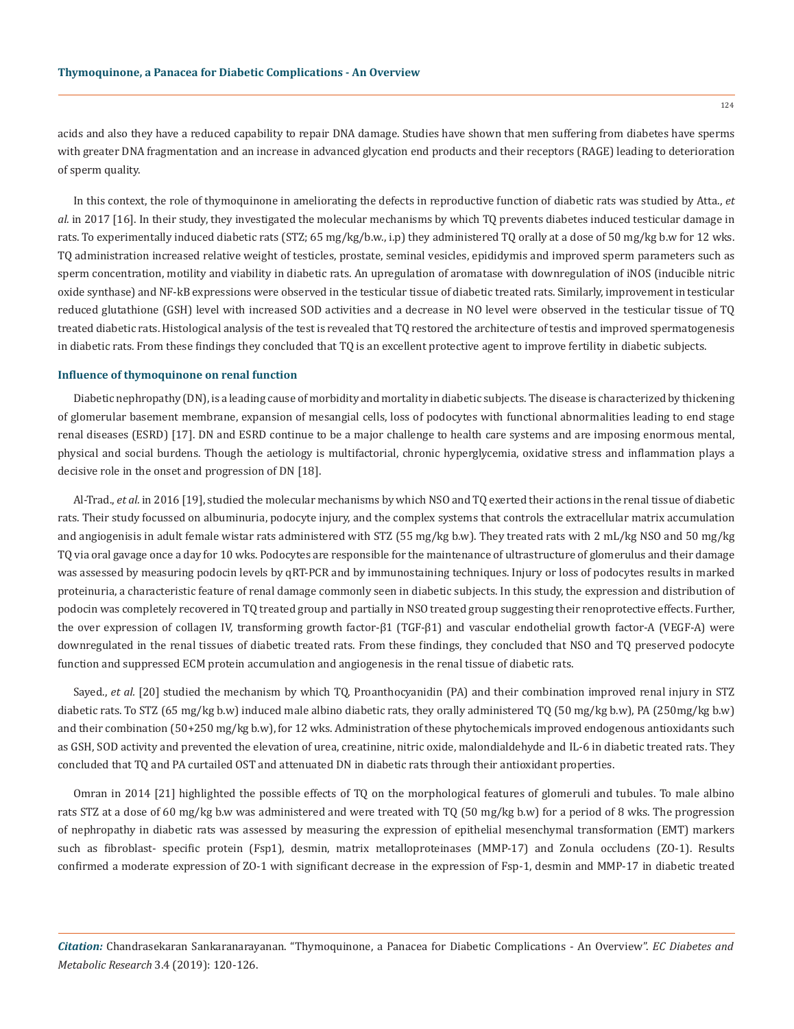acids and also they have a reduced capability to repair DNA damage. Studies have shown that men suffering from diabetes have sperms with greater DNA fragmentation and an increase in advanced glycation end products and their receptors (RAGE) leading to deterioration of sperm quality.

In this context, the role of thymoquinone in ameliorating the defects in reproductive function of diabetic rats was studied by Atta., *et al.* in 2017 [16]. In their study, they investigated the molecular mechanisms by which TQ prevents diabetes induced testicular damage in rats. To experimentally induced diabetic rats (STZ; 65 mg/kg/b.w., i.p) they administered TQ orally at a dose of 50 mg/kg b.w for 12 wks. TQ administration increased relative weight of testicles, prostate, seminal vesicles, epididymis and improved sperm parameters such as sperm concentration, motility and viability in diabetic rats. An upregulation of aromatase with downregulation of iNOS (inducible nitric oxide synthase) and NF-kB expressions were observed in the testicular tissue of diabetic treated rats. Similarly, improvement in testicular reduced glutathione (GSH) level with increased SOD activities and a decrease in NO level were observed in the testicular tissue of TQ treated diabetic rats. Histological analysis of the test is revealed that TQ restored the architecture of testis and improved spermatogenesis in diabetic rats. From these findings they concluded that TQ is an excellent protective agent to improve fertility in diabetic subjects.

#### **Influence of thymoquinone on renal function**

Diabetic nephropathy (DN), is a leading cause of morbidity and mortality in diabetic subjects. The disease is characterized by thickening of glomerular basement membrane, expansion of mesangial cells, loss of podocytes with functional abnormalities leading to end stage renal diseases (ESRD) [17]. DN and ESRD continue to be a major challenge to health care systems and are imposing enormous mental, physical and social burdens. Though the aetiology is multifactorial, chronic hyperglycemia, oxidative stress and inflammation plays a decisive role in the onset and progression of DN [18].

Al-Trad., *et al.* in 2016 [19], studied the molecular mechanisms by which NSO and TQ exerted their actions in the renal tissue of diabetic rats. Their study focussed on albuminuria, podocyte injury, and the complex systems that controls the extracellular matrix accumulation and angiogenisis in adult female wistar rats administered with STZ (55 mg/kg b.w). They treated rats with 2 mL/kg NSO and 50 mg/kg TQ via oral gavage once a day for 10 wks. Podocytes are responsible for the maintenance of ultrastructure of glomerulus and their damage was assessed by measuring podocin levels by qRT-PCR and by immunostaining techniques. Injury or loss of podocytes results in marked proteinuria, a characteristic feature of renal damage commonly seen in diabetic subjects. In this study, the expression and distribution of podocin was completely recovered in TQ treated group and partially in NSO treated group suggesting their renoprotective effects. Further, the over expression of collagen IV, transforming growth factor-β1 (TGF-β1) and vascular endothelial growth factor-A (VEGF-A) were downregulated in the renal tissues of diabetic treated rats. From these findings, they concluded that NSO and TQ preserved podocyte function and suppressed ECM protein accumulation and angiogenesis in the renal tissue of diabetic rats.

Sayed., *et al.* [20] studied the mechanism by which TQ, Proanthocyanidin (PA) and their combination improved renal injury in STZ diabetic rats. To STZ (65 mg/kg b.w) induced male albino diabetic rats, they orally administered TQ (50 mg/kg b.w), PA (250mg/kg b.w) and their combination (50+250 mg/kg b.w), for 12 wks. Administration of these phytochemicals improved endogenous antioxidants such as GSH, SOD activity and prevented the elevation of urea, creatinine, nitric oxide, malondialdehyde and IL-6 in diabetic treated rats. They concluded that TQ and PA curtailed OST and attenuated DN in diabetic rats through their antioxidant properties.

Omran in 2014 [21] highlighted the possible effects of TQ on the morphological features of glomeruli and tubules. To male albino rats STZ at a dose of 60 mg/kg b.w was administered and were treated with TQ (50 mg/kg b.w) for a period of 8 wks. The progression of nephropathy in diabetic rats was assessed by measuring the expression of epithelial mesenchymal transformation (EMT) markers such as fibroblast- specific protein (Fsp1), desmin, matrix metalloproteinases (MMP-17) and Zonula occludens (ZO-1). Results confirmed a moderate expression of ZO-1 with significant decrease in the expression of Fsp-1, desmin and MMP-17 in diabetic treated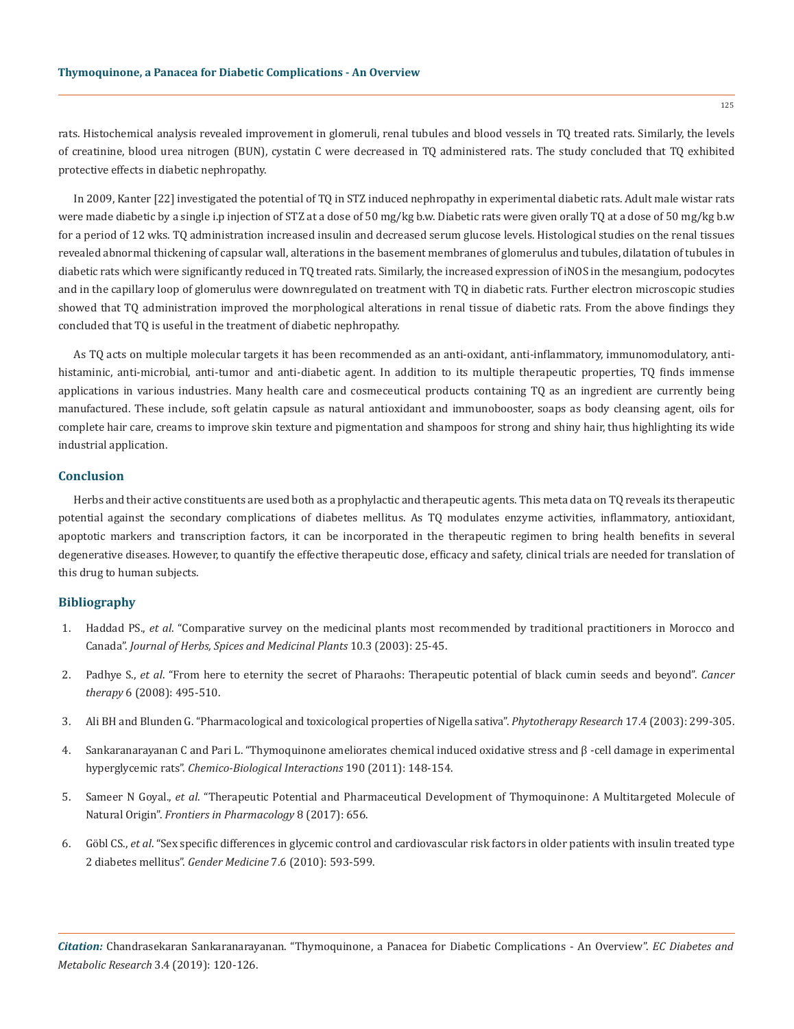rats. Histochemical analysis revealed improvement in glomeruli, renal tubules and blood vessels in TQ treated rats. Similarly, the levels of creatinine, blood urea nitrogen (BUN), cystatin C were decreased in TQ administered rats. The study concluded that TQ exhibited protective effects in diabetic nephropathy.

In 2009, Kanter [22] investigated the potential of TQ in STZ induced nephropathy in experimental diabetic rats. Adult male wistar rats were made diabetic by a single i.p injection of STZ at a dose of 50 mg/kg b.w. Diabetic rats were given orally TQ at a dose of 50 mg/kg b.w for a period of 12 wks. TQ administration increased insulin and decreased serum glucose levels. Histological studies on the renal tissues revealed abnormal thickening of capsular wall, alterations in the basement membranes of glomerulus and tubules, dilatation of tubules in diabetic rats which were significantly reduced in TQ treated rats. Similarly, the increased expression of iNOS in the mesangium, podocytes and in the capillary loop of glomerulus were downregulated on treatment with TQ in diabetic rats. Further electron microscopic studies showed that TQ administration improved the morphological alterations in renal tissue of diabetic rats. From the above findings they concluded that TQ is useful in the treatment of diabetic nephropathy.

As TQ acts on multiple molecular targets it has been recommended as an anti-oxidant, anti-inflammatory, immunomodulatory, [anti](https://www.sciencedirect.com/topics/pharmacology-toxicology-and-pharmaceutical-science/antihistaminic-agent)[histaminic](https://www.sciencedirect.com/topics/pharmacology-toxicology-and-pharmaceutical-science/antihistaminic-agent), anti-microbial, anti-tumor and anti-diabetic agent. In addition to its multiple therapeutic properties, TQ finds immense applications in various industries. Many health care and cosmeceutical products containing TQ as an ingredient are currently being manufactured. These include, soft gelatin capsule as natural antioxidant and immunobooster, soaps as body cleansing agent, oils for complete hair care, creams to improve skin texture and pigmentation and shampoos for strong and shiny hair, thus highlighting its wide industrial application.

## **Conclusion**

Herbs and their active constituents are used both as a prophylactic and therapeutic agents. This meta data on TQ reveals its therapeutic potential against the secondary complications of diabetes mellitus. As TQ modulates enzyme activities, inflammatory, antioxidant, apoptotic markers and transcription factors, it can be incorporated in the therapeutic regimen to bring health benefits in several degenerative diseases. However, to quantify the effective therapeutic dose, efficacy and safety, clinical trials are needed for translation of this drug to human subjects.

# **Bibliography**

- 1. Haddad PS., *et al*[. "Comparative survey on the medicinal plants most recommended by traditional practitioners in Morocco and](https://www.tandfonline.com/doi/abs/10.1300/J044v10n03_04)  Canada". *[Journal of Herbs, Spices and Medicinal Plants](https://www.tandfonline.com/doi/abs/10.1300/J044v10n03_04)* 10.3 (2003): 25-45.
- 2. Padhye S., *et al*[. "From here to eternity the secret of Pharaohs: Therapeutic potential of black cumin seeds and beyond".](https://www.ncbi.nlm.nih.gov/pubmed/19018291) *Cancer therapy* [6 \(2008\): 495-510.](https://www.ncbi.nlm.nih.gov/pubmed/19018291)
- 3. [Ali BH and Blunden G. "Pharmacological and toxicological properties of Nigella sativa".](https://www.ncbi.nlm.nih.gov/pubmed/12722128) *Phytotherapy Research* 17.4 (2003): 299-305.
- 4. Sankaranarayanan C and Pari L. "Thymoquinone ameliorates chemical induced oxidative stress and β -cell damage in experimental hyperglycemic rats". *Chemico-Biological Interactions* 190 (2011): 148-154.
- 5. Sameer N Goyal., *et al*[. "Therapeutic Potential and Pharmaceutical Development of Thymoquinone: A Multitargeted Molecule of](https://www.ncbi.nlm.nih.gov/pmc/articles/PMC5613109/)  Natural Origin". *[Frontiers in Pharmacology](https://www.ncbi.nlm.nih.gov/pmc/articles/PMC5613109/)* 8 (2017): 656.
- 6. Göbl CS., *et al*[. "Sex specific differences in glycemic control and cardiovascular risk factors in older patients with insulin treated type](https://www.ncbi.nlm.nih.gov/pubmed/21195359)  2 diabetes mellitus". *Gender Medicine* [7.6 \(2010\): 593-599.](https://www.ncbi.nlm.nih.gov/pubmed/21195359)

125